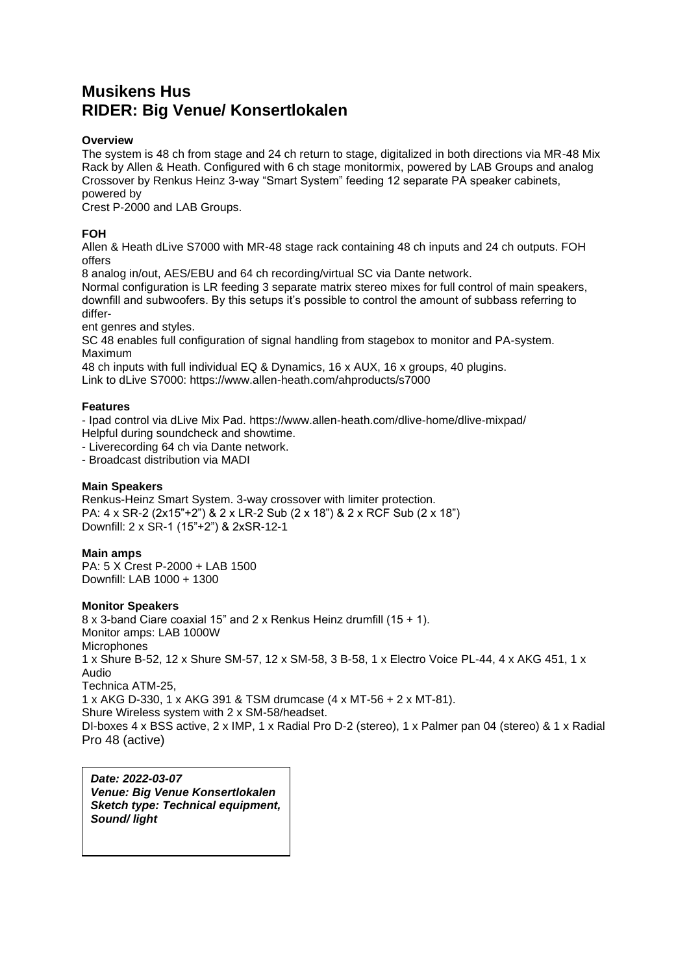# **Musikens Hus RIDER: Big Venue/ Konsertlokalen**

## **Overview**

The system is 48 ch from stage and 24 ch return to stage, digitalized in both directions via MR-48 Mix Rack by Allen & Heath. Configured with 6 ch stage monitormix, powered by LAB Groups and analog Crossover by Renkus Heinz 3-way "Smart System" feeding 12 separate PA speaker cabinets, powered by

Crest P-2000 and LAB Groups.

# **FOH**

Allen & Heath dLive S7000 with MR-48 stage rack containing 48 ch inputs and 24 ch outputs. FOH offers

8 analog in/out, AES/EBU and 64 ch recording/virtual SC via Dante network. Normal configuration is LR feeding 3 separate matrix stereo mixes for full control of main speakers,

downfill and subwoofers. By this setups it's possible to control the amount of subbass referring to differ-

ent genres and styles.

SC 48 enables full configuration of signal handling from stagebox to monitor and PA-system. Maximum

48 ch inputs with full individual EQ & Dynamics, 16 x AUX, 16 x groups, 40 plugins. Link to dLive S7000: https://www.allen-heath.com/ahproducts/s7000

## **Features**

- Ipad control via dLive Mix Pad. https://www.allen-heath.com/dlive-home/dlive-mixpad/ Helpful during soundcheck and showtime.

- Liverecording 64 ch via Dante network.

- Broadcast distribution via MADI

# **Main Speakers**

Renkus-Heinz Smart System. 3-way crossover with limiter protection. PA: 4 x SR-2 (2x15"+2") & 2 x LR-2 Sub (2 x 18") & 2 x RCF Sub (2 x 18") Downfill: 2 x SR-1 (15"+2") & 2xSR-12-1

## **Main amps**

PA: 5 X Crest P-2000 + LAB 1500 Downfill: LAB 1000 + 1300

## **Monitor Speakers**

8 x 3-band Ciare coaxial 15" and 2 x Renkus Heinz drumfill (15 + 1). Monitor amps: LAB 1000W **Microphones** 1 x Shure B-52, 12 x Shure SM-57, 12 x SM-58, 3 B-58, 1 x Electro Voice PL-44, 4 x AKG 451, 1 x Audio Technica ATM-25, 1 x AKG D-330, 1 x AKG 391 & TSM drumcase (4 x MT-56 + 2 x MT-81). Shure Wireless system with 2 x SM-58/headset. DI-boxes 4 x BSS active, 2 x IMP, 1 x Radial Pro D-2 (stereo), 1 x Palmer pan 04 (stereo) & 1 x Radial Pro 48 (active)

*Date: 2022-03-07 Venue: Big Venue Konsertlokalen Sketch type: Technical equipment, Sound/ light*